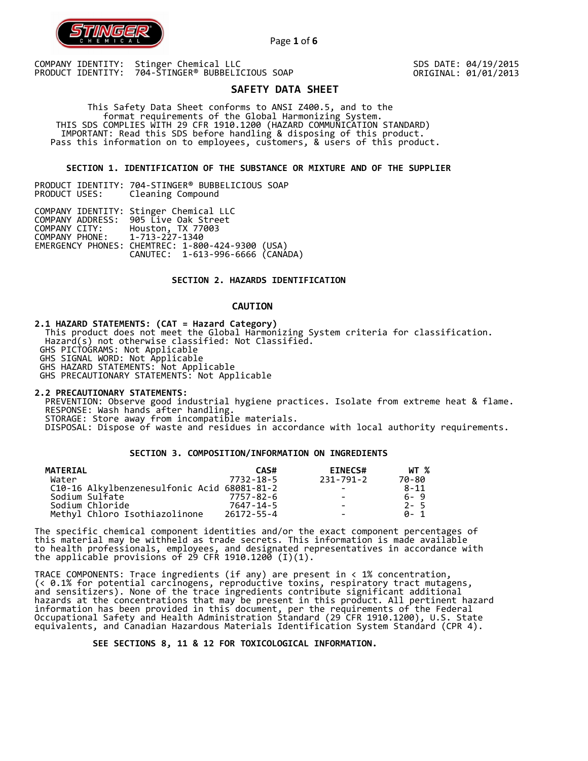

Page **1** of **6**

COMPANY IDENTITY: Stinger Chemical LLC PRODUCT IDENTITY: 704-STINGER® BUBBELICIOUS SOAP SDS DATE: 04/19/2015 ORIGINAL: 01/01/2013

# **SAFETY DATA SHEET**

 This Safety Data Sheet conforms to ANSI Z400.5, and to the format requirements of the Global Harmonizing System. THIS SDS COMPLIES WITH 29 CFR 1910.1200 (HAZARD COMMUNICATION STANDARD) IMPORTANT: Read this SDS before handling & disposing of this product. Pass this information on to employees, customers, & users of this product.

## **SECTION 1. IDENTIFICATION OF THE SUBSTANCE OR MIXTURE AND OF THE SUPPLIER**

PRODUCT IDENTITY: 704-STINGER® BUBBELICIOUS SOAP Cleaning Compound

|                               | COMPANY IDENTITY: Stinger Chemical LLC<br>COMPANY ADDRESS: 905 Live Oak Street |  |
|-------------------------------|--------------------------------------------------------------------------------|--|
| COMPANY CITY:                 | Houston, TX 77003                                                              |  |
| COMPANY PHONE: 1-713-227-1340 | EMERGENCY PHONES: CHEMTREC: 1-800-424-9300 (USA)                               |  |
|                               | CANUTEC: 1-613-996-6666 (CANÁDA)                                               |  |

## **SECTION 2. HAZARDS IDENTIFICATION**

# **CAUTION**

**2.1 HAZARD STATEMENTS: (CAT = Hazard Category)**

 This product does not meet the Global Harmonizing System criteria for classification. Hazard(s) not otherwise classified: Not Classified.

GHS PICTOGRAMS: Not Applicable

GHS SIGNAL WORD: Not Applicable

GHS HAZARD STATEMENTS: Not Applicable

GHS PRECAUTIONARY STATEMENTS: Not Applicable

**2.2 PRECAUTIONARY STATEMENTS:**  PREVENTION: Observe good industrial hygiene practices. Isolate from extreme heat & flame. RESPONSE: Wash hands after handling. STORAGE: Store away from incompatible materials. DISPOSAL: Dispose of waste and residues in accordance with local authority requirements.

# **SECTION 3. COMPOSITION/INFORMATION ON INGREDIENTS**

| MATERIAL                                    | CAS#            | <b>EINECS#</b>           | WT %     |
|---------------------------------------------|-----------------|--------------------------|----------|
| Water                                       | 7732-18-5       | 231-791-2                | 70-80    |
| C10-16 Alkylbenzenesulfonic Acid 68081-81-2 |                 |                          | $8 - 11$ |
| Sodium Sulfate                              | $7757 - 82 - 6$ | -                        | $6 - 9$  |
| Sodium Chloride                             | 7647-14-5       |                          | $2 - 5$  |
| Methyl Chloro Isothiazolinone               | 26172-55-4      | $\overline{\phantom{0}}$ | A- 1     |

The specific chemical component identities and/or the exact component percentages of this material may be withheld as trade secrets. This information is made available to health professionals, employees, and designated representatives in accordance with the applicable provisions of 29 CFR 1910.1200̄ (I)(1).  $\overline{\phantom{a}}$ 

TRACE COMPONENTS: Trace ingredients (if any) are present in < 1% concentration, (< 0.1% for potential carcinogens, reproductive toxins, respiratory tract mutagens, and sensitizers). None of the trace ingredients contribute significant additional hazards at the concentrations that may be present in this product. All pertinent hazard information has been provided in this document, per the requirements of the Federal Occupational Safety and Health Administration Standard (29 CFR 1910.1200), U.S. State equivalents, and Canadian Hazardous Materials Identification System Standard (CPR 4).

 **SEE SECTIONS 8, 11 & 12 FOR TOXICOLOGICAL INFORMATION.**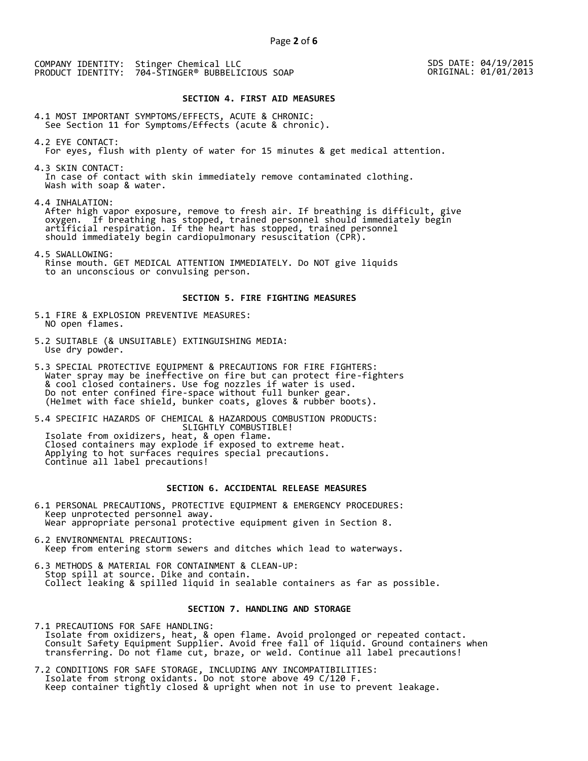SDS DATE: 04/19/2015 ORIGINAL: 01/01/2013

### **SECTION 4. FIRST AID MEASURES**

4.1 MOST IMPORTANT SYMPTOMS/EFFECTS, ACUTE & CHRONIC: See Section 11 for Symptoms/Effects (acute & chronic).

4.2 EYE CONTACT: For eyes, flush with plenty of water for 15 minutes & get medical attention.

4.3 SKIN CONTACT: In case of contact with skin immediately remove contaminated clothing. Wash with soap & water.

4.4 INHALATION:

 After high vapor exposure, remove to fresh air. If breathing is difficult, give oxygen. If breathing has stopped, trained personnel should immediately begin artificial respiration. If the heart has stopped, trained personnel should immediately begin cardiopulmonary resuscitation (CPR).

4.5 SWALLOWING: Rinse mouth. GET MEDICAL ATTENTION IMMEDIATELY. Do NOT give liquids to an unconscious or convulsing person.

### **SECTION 5. FIRE FIGHTING MEASURES**

5.1 FIRE & EXPLOSION PREVENTIVE MEASURES: NO open flames.

- 5.2 SUITABLE (& UNSUITABLE) EXTINGUISHING MEDIA: Use dry powder.
- 5.3 SPECIAL PROTECTIVE EQUIPMENT & PRECAUTIONS FOR FIRE FIGHTERS: Water spray may be ineffective on fire but can protect fire-fighters & cool closed containers. Use fog nozzles if water is used. Do not enter confined fire-space without full bunker gear. (Helmet with face shield, bunker coats, gloves & rubber boots).

5.4 SPECIFIC HAZARDS OF CHEMICAL & HAZARDOUS COMBUSTION PRODUCTS: SLIGHTLY COMBUSTIBLE! Isolate from oxidizers, heat, & open flame. Closed containers may explode if exposed to extreme heat. Applying to hot surfaces requires special precautions. Continue all label precautions!

# **SECTION 6. ACCIDENTAL RELEASE MEASURES**

- 6.1 PERSONAL PRECAUTIONS, PROTECTIVE EQUIPMENT & EMERGENCY PROCEDURES: Keep unprotected personnel away. Wear appropriate personal protective equipment given in Section 8.
- 6.2 ENVIRONMENTAL PRECAUTIONS: Keep from entering storm sewers and ditches which lead to waterways.
- 6.3 METHODS & MATERIAL FOR CONTAINMENT & CLEAN-UP: Stop spill at source. Dike and contain. Collect leaking & spilled liquid in sealable containers as far as possible.

## **SECTION 7. HANDLING AND STORAGE**

7.1 PRECAUTIONS FOR SAFE HANDLING: Isolate from oxidizers, heat, & open flame. Avoid prolonged or repeated contact. Consult Safety Equipment Supplier. Avoid free fall of liquid. Ground containers when transferring. Do not flame cut, braze, or weld. Continue all label precautions!

7.2 CONDITIONS FOR SAFE STORAGE, INCLUDING ANY INCOMPATIBILITIES: Isolate from strong oxidants. Do not store above 49 C/120 F. Keep container tightly closed & upright when not in use to prevent leakage.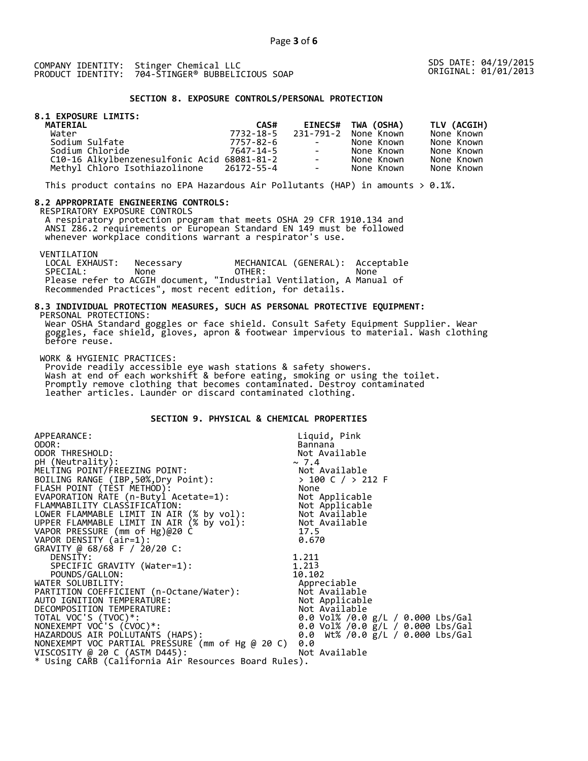SDS DATE: 04/19/2015 ORIGINAL: 01/01/2013

## **SECTION 8. EXPOSURE CONTROLS/PERSONAL PROTECTION**

# **8.1 EXPOSURE LIMITS:**

| <b>MATERIAL</b>                             | CAS#      |                      | EINECS# TWA (OSHA)   | TLV (ACGIH) |
|---------------------------------------------|-----------|----------------------|----------------------|-------------|
| Water                                       | 7732-18-5 |                      | 231-791-2 None Known | None Known  |
| Sodium Sulfate                              | 7757-82-6 | and the state of the | None Known           | None Known  |
| Sodium Chloride                             | 7647-14-5 | $\sim$ 100 $\mu$     | None Known           | None Known  |
| C10-16 Alkylbenzenesulfonic Acid 68081-81-2 |           | $\sim$               | None Known           | None Known  |
| Methyl Chloro Isothiazolinone 26172-55-4    |           | $\sim$               | None Known           | None Known  |

This product contains no EPA Hazardous Air Pollutants (HAP) in amounts  $> 0.1\%$ .

### **8.2 APPROPRIATE ENGINEERING CONTROLS:**

RESPIRATORY EXPOSURE CONTROLS

 A respiratory protection program that meets OSHA 29 CFR 1910.134 and ANSI Z86.2 requirements or European Standard EN 149 must be followed whenever workplace conditions warrant a respirator's use.

VENTILATION<br>LOCAL EXHAUST: LOCAL EXHAUST: Necessary MECHANICAL (GENERAL): Acceptable SPECIAL: None OTHER: None Please refer to ACGIH document, "Industrial Ventilation, A Manual of Recommended Practices", most recent edition, for details.

#### **8.3 INDIVIDUAL PROTECTION MEASURES, SUCH AS PERSONAL PROTECTIVE EQUIPMENT:**  PERSONAL PROTECTIONS:

 Wear OSHA Standard goggles or face shield. Consult Safety Equipment Supplier. Wear goggles, face shield, gloves, apron & footwear impervious to material. Wash clothing before reuse.

WORK & HYGIENIC PRACTICES:

 Provide readily accessible eye wash stations & safety showers. Wash at end of each workshift & before eating, smoking or using the toilet. Promptly remove clothing that becomes contaminated. Destroy contaminated leather articles. Launder or discard contaminated clothing.

# **SECTION 9. PHYSICAL & CHEMICAL PROPERTIES**

| APPEARANCE:                                                                                                                                      | Liquid, Pink                       |
|--------------------------------------------------------------------------------------------------------------------------------------------------|------------------------------------|
| ODOR:                                                                                                                                            | Bannana                            |
| ODOR THRESHOLD:                                                                                                                                  | Not Available                      |
| pH (Neutrality):                                                                                                                                 | $\sim 7.4$                         |
| MELTING POINT/FREEZING POINT:                                                                                                                    |                                    |
| BOILING RANGE (IBP, 50%, Dry Point):                                                                                                             | Not Available<br>> 100 C / > 212 F |
| FLASH POINT (TÈST METHOD):                                                                                                                       | None                               |
| EVAPORATION RATE (n-Butyl Acetate=1):                                                                                                            | Not Applicable                     |
|                                                                                                                                                  |                                    |
|                                                                                                                                                  |                                    |
| FLAMMABILITY CLASSIFICATION:<br>LOWER FLAMMABLE LIMIT IN AIR (% by vol): Not Available<br>UPPER FLAMMABLE LIMIT IN AIR (% by vol): Not Available |                                    |
| VAPOR PRESSURE (mm of Hg)@20 C                                                                                                                   | 17.5                               |
| VAPOR DENSITY (air=1):                                                                                                                           | 0.670                              |
| GRAVITY @ 68/68 F / 20/20 C:                                                                                                                     |                                    |
| DENSITY:                                                                                                                                         | 1.211                              |
| SPECIFIC GRAVITY (Water=1):                                                                                                                      | 1.213                              |
| POUNDS/GALLON:                                                                                                                                   | 10.102                             |
| WATER SOLUBILITY:                                                                                                                                | Appreciable                        |
|                                                                                                                                                  |                                    |
|                                                                                                                                                  | Not Applicable                     |
| PARTITION COEFFICIENT (n-Octane/Water): Not Available<br>AUTO IGNITION TEMPERATURE: Not Applicable<br>DECOMPOSITION TEMPERATURE: Not Available   |                                    |
| TOTAL VOC'S (TVOC)*:                                                                                                                             | 0.0 Vol% /0.0 g/L / 0.000 Lbs/Gal  |
| NONEXEMPT VOC'S (CVOC)*:                                                                                                                         | 0.0 Vol% /0.0 g/L / 0.000 Lbs/Gal  |
| HAZARDOUS AIR POLLUTANTS (HAPS):                                                                                                                 | 0.0 Wt% /0.0 $g/L$ / 0.000 Lbs/Gal |
| NONEXEMPT VOC PARTIAL PRESSURE (mm of Hg @ 20 C)                                                                                                 | 0.0                                |
| VISCOSITY @ 20 C (ASTM D445):                                                                                                                    | Not Available                      |
| * Using CARB (California Air Resources Board Rules).                                                                                             |                                    |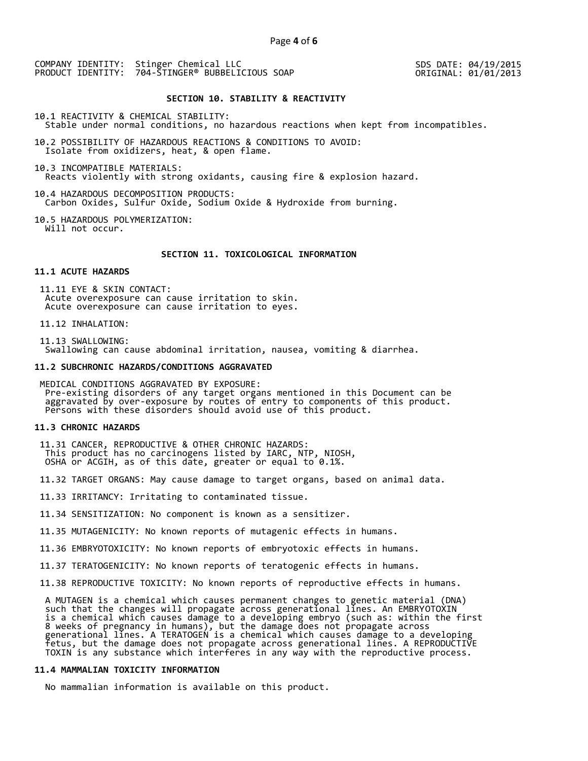SDS DATE: 04/19/2015 ORIGINAL: 01/01/2013

### **SECTION 10. STABILITY & REACTIVITY**

10.1 REACTIVITY & CHEMICAL STABILITY: Stable under normal conditions, no hazardous reactions when kept from incompatibles.

10.2 POSSIBILITY OF HAZARDOUS REACTIONS & CONDITIONS TO AVOID: Isolate from oxidizers, heat, & open flame.

10.3 INCOMPATIBLE MATERIALS: Reacts violently with strong oxidants, causing fire & explosion hazard.

10.4 HAZARDOUS DECOMPOSITION PRODUCTS: Carbon Oxides, Sulfur Oxide, Sodium Oxide & Hydroxide from burning.

10.5 HAZARDOUS POLYMERIZATION: Will not occur.

### **SECTION 11. TOXICOLOGICAL INFORMATION**

## **11.1 ACUTE HAZARDS**

 11.11 EYE & SKIN CONTACT: Acute overexposure can cause irritation to skin. Acute overexposure can cause irritation to eyes.

11.12 INHALATION:

 11.13 SWALLOWING: Swallowing can cause abdominal irritation, nausea, vomiting & diarrhea.

#### **11.2 SUBCHRONIC HAZARDS/CONDITIONS AGGRAVATED**

 MEDICAL CONDITIONS AGGRAVATED BY EXPOSURE: Pre-existing disorders of any target organs mentioned in this Document can be aggravated by over-exposure by routes of entry to components of this product. Persons with these disorders should avoid use of this product.

### **11.3 CHRONIC HAZARDS**

 11.31 CANCER, REPRODUCTIVE & OTHER CHRONIC HAZARDS: This product has no carcinogens listed by IARC, NTP, NIOSH, OSHA or ACGIH, as of this date, greater or equal to 0.1%.

11.32 TARGET ORGANS: May cause damage to target organs, based on animal data.

11.33 IRRITANCY: Irritating to contaminated tissue.

11.34 SENSITIZATION: No component is known as a sensitizer.

11.35 MUTAGENICITY: No known reports of mutagenic effects in humans.

11.36 EMBRYOTOXICITY: No known reports of embryotoxic effects in humans.

11.37 TERATOGENICITY: No known reports of teratogenic effects in humans.

11.38 REPRODUCTIVE TOXICITY: No known reports of reproductive effects in humans.

 A MUTAGEN is a chemical which causes permanent changes to genetic material (DNA) such that the changes will propagate across generational lines. An EMBRYOTOXIN is a chemical which causes damage to a developing embryo (such as: within the first 8 weeks of pregnancy in humans), but the damage does not propagate across generational lines. A TERATOGEN is a chemical which causes damage to a developing fetus, but the damage does not propagate across generational lines. A REPRODUCTIVE TOXIN is any substance which interferes in any way with the reproductive process.

## **11.4 MAMMALIAN TOXICITY INFORMATION**

No mammalian information is available on this product.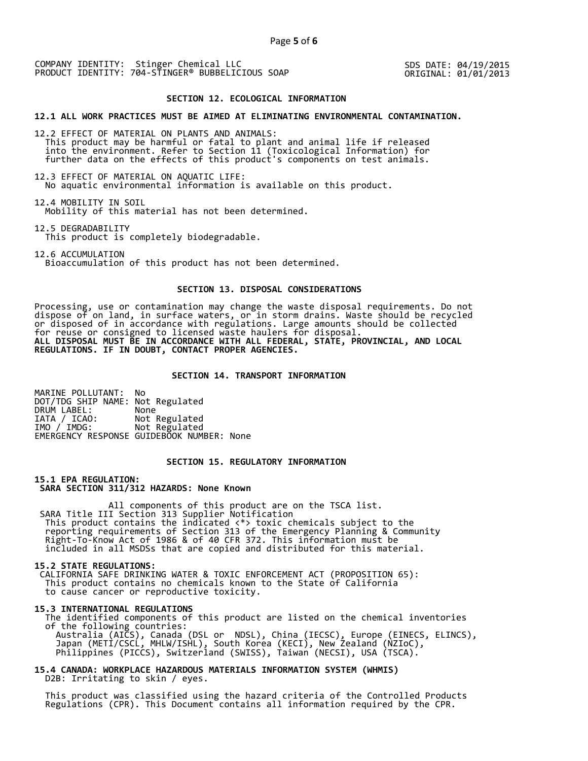SDS DATE: 04/19/2015 ORIGINAL: 01/01/2013

#### **SECTION 12. ECOLOGICAL INFORMATION**

#### **12.1 ALL WORK PRACTICES MUST BE AIMED AT ELIMINATING ENVIRONMENTAL CONTAMINATION.**

12.2 EFFECT OF MATERIAL ON PLANTS AND ANIMALS: This product may be harmful or fatal to plant and animal life if released into the environment. Refer to Section 11 (Toxicological Information) for further data on the effects of this product's components on test animals.

12.3 EFFECT OF MATERIAL ON AQUATIC LIFE: No aquatic environmental information is available on this product.

12.4 MOBILITY IN SOIL Mobility of this material has not been determined.

12.5 DEGRADABILITY This product is completely biodegradable.

12.6 ACCUMULATION Bioaccumulation of this product has not been determined.

## **SECTION 13. DISPOSAL CONSIDERATIONS**

Processing, use or contamination may change the waste disposal requirements. Do not dispose of on land, in surface waters, or in storm drains. Waste should be recycled or disposed of in accordance with regulations. Large amounts should be collected for reuse or consigned to licensed waste haulers for disposal. **ALL DISPOSAL MUST BE IN ACCORDANCE WITH ALL FEDERAL, STATE, PROVINCIAL, AND LOCAL REGULATIONS. IF IN DOUBT, CONTACT PROPER AGENCIES.** 

### **SECTION 14. TRANSPORT INFORMATION**

MARINE POLLUTANT: No DOT/TDG SHIP NAME: Not Regulated DRUM LABEL:<br>IATA / ICAO: IATA / ICAO: Not Regulated<br>IMO / IMDG: Not Regulated Not Regulated EMERGENCY RESPONSE GUIDEBOOK NUMBER: None

# **SECTION 15. REGULATORY INFORMATION**

**15.1 EPA REGULATION: SARA SECTION 311/312 HAZARDS: None Known** 

All components of this product are on the TSCA list. SARA Title III Section 313 Supplier Notification This product contains the indicated <\*> toxic chemicals subject to the reporting requirements of Section 313 of the Emergency Planning & Community Right-To-Know Act of 1986 & of 40 CFR 372. This information must be included in all MSDSs that are copied and distributed for this material.

#### **15.2 STATE REGULATIONS:**

 CALIFORNIA SAFE DRINKING WATER & TOXIC ENFORCEMENT ACT (PROPOSITION 65): This product contains no chemicals known to the State of California to cause cancer or reproductive toxicity.

#### **15.3 INTERNATIONAL REGULATIONS**

 The identified components of this product are listed on the chemical inventories of the following countries: Australia (AICS), Canada (DSL or NDSL), China (IECSC), Europe (EINECS, ELINCS), Japan (METI/CSCL, MHLW/ISHL), South Korea (KECI), New Zealand (NZIoC), Philippines (PICCS), Switzerland (SWISS), Taiwan (NECSI), USA (TSCA).

**15.4 CANADA: WORKPLACE HAZARDOUS MATERIALS INFORMATION SYSTEM (WHMIS)**  D2B: Irritating to skin / eyes.

 This product was classified using the hazard criteria of the Controlled Products Regulations (CPR). This Document contains all information required by the CPR.